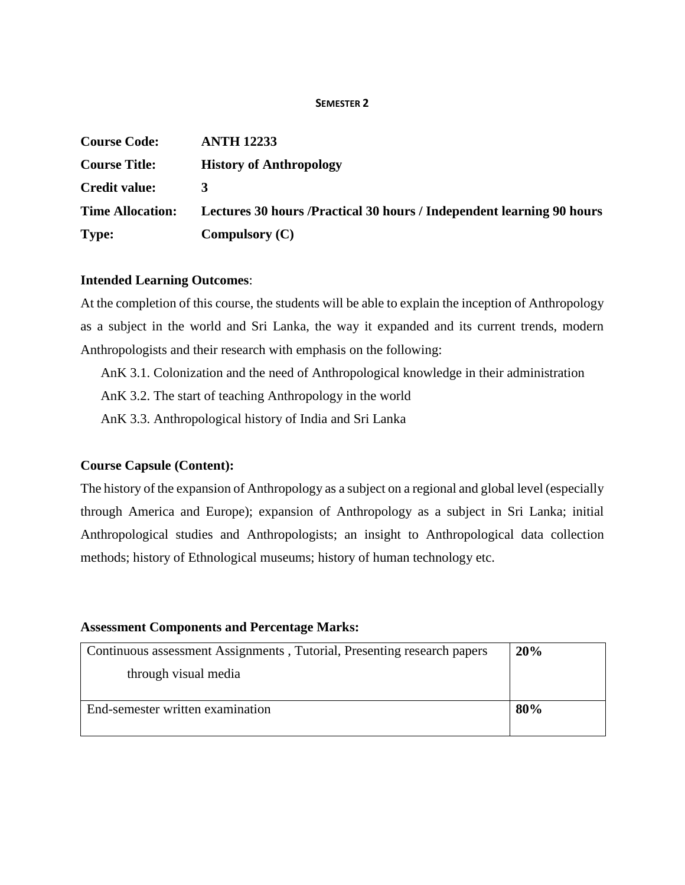#### **SEMESTER 2**

| <b>Course Code:</b>     | <b>ANTH 12233</b>                                                      |
|-------------------------|------------------------------------------------------------------------|
| <b>Course Title:</b>    | <b>History of Anthropology</b>                                         |
| <b>Credit value:</b>    | 3                                                                      |
| <b>Time Allocation:</b> | Lectures 30 hours / Practical 30 hours / Independent learning 90 hours |
| Type:                   | Compulsory $(C)$                                                       |

### **Intended Learning Outcomes**:

At the completion of this course, the students will be able to explain the inception of Anthropology as a subject in the world and Sri Lanka, the way it expanded and its current trends, modern Anthropologists and their research with emphasis on the following:

AnK 3.1. Colonization and the need of Anthropological knowledge in their administration

AnK 3.2. The start of teaching Anthropology in the world

AnK 3.3. Anthropological history of India and Sri Lanka

# **Course Capsule (Content):**

The history of the expansion of Anthropology as a subject on a regional and global level (especially through America and Europe); expansion of Anthropology as a subject in Sri Lanka; initial Anthropological studies and Anthropologists; an insight to Anthropological data collection methods; history of Ethnological museums; history of human technology etc.

# **Assessment Components and Percentage Marks:**

| Continuous assessment Assignments, Tutorial, Presenting research papers | 20% |
|-------------------------------------------------------------------------|-----|
| through visual media                                                    |     |
| End-semester written examination                                        | 80% |